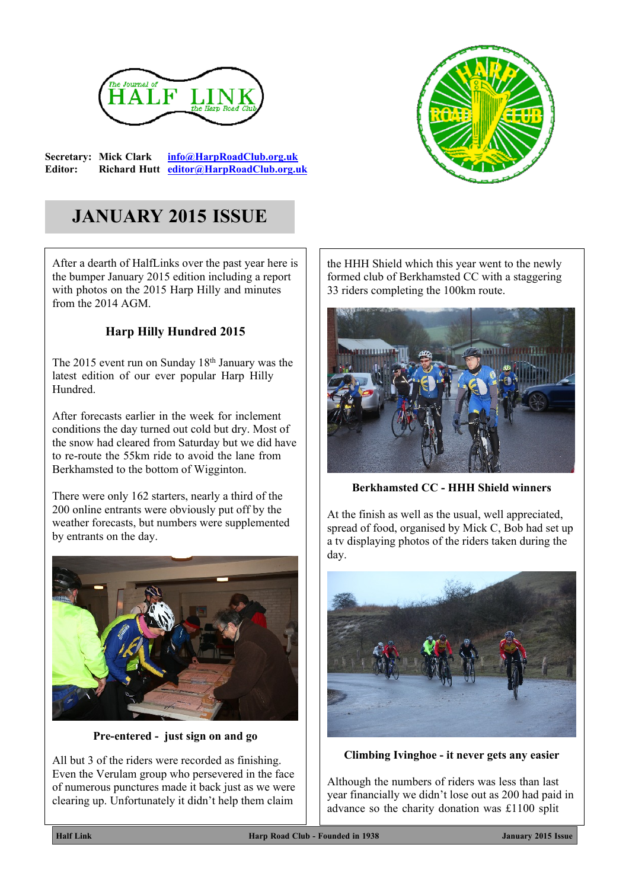

**Secretary: Mick Clark [info@HarpRoadClub.org.uk](mailto:info@HarpRoadClub.org.uk) Editor: Richard Hutt [editor@HarpRoadClub.org.uk](mailto:editor@HarpRoadClub.org.uk)**



# **JANUARY 2015 ISSUE**

After a dearth of HalfLinks over the past year here is the bumper January 2015 edition including a report with photos on the 2015 Harp Hilly and minutes from the 2014 AGM.

# **Harp Hilly Hundred 2015**

The 2015 event run on Sunday 18th January was the latest edition of our ever popular Harp Hilly Hundred.

After forecasts earlier in the week for inclement conditions the day turned out cold but dry. Most of the snow had cleared from Saturday but we did have to re-route the 55km ride to avoid the lane from Berkhamsted to the bottom of Wigginton.

There were only 162 starters, nearly a third of the 200 online entrants were obviously put off by the weather forecasts, but numbers were supplemented by entrants on the day.



**Pre-entered - just sign on and go**

All but 3 of the riders were recorded as finishing. Even the Verulam group who persevered in the face of numerous punctures made it back just as we were clearing up. Unfortunately it didn't help them claim

the HHH Shield which this year went to the newly formed club of Berkhamsted CC with a staggering 33 riders completing the 100km route.



**Berkhamsted CC - HHH Shield winners**

At the finish as well as the usual, well appreciated, spread of food, organised by Mick C, Bob had set up a tv displaying photos of the riders taken during the day.



**Climbing Ivinghoe - it never gets any easier**

Although the numbers of riders was less than last year financially we didn't lose out as 200 had paid in advance so the charity donation was £1100 split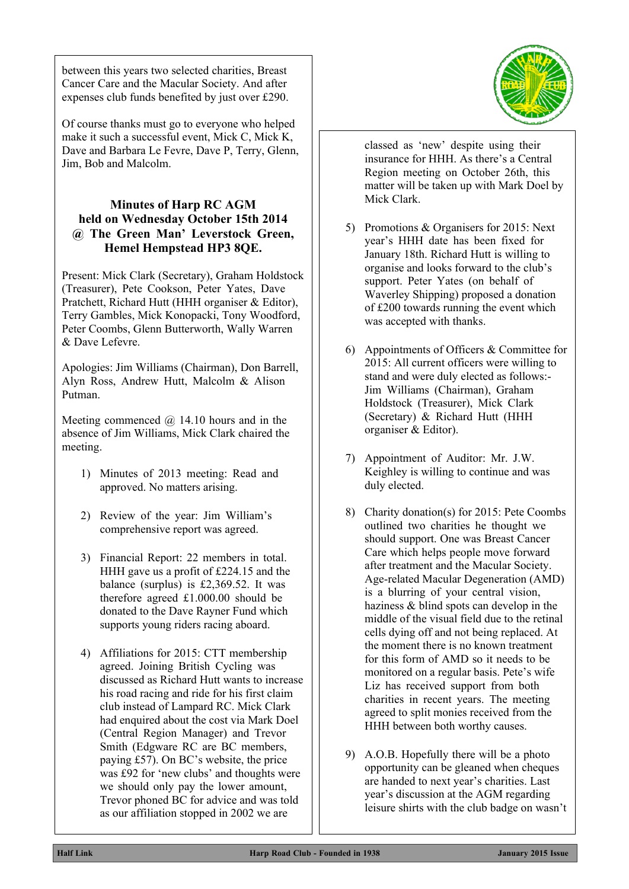between this years two selected charities, Breast Cancer Care and the Macular Society. And after expenses club funds benefited by just over £290.

Of course thanks must go to everyone who helped make it such a successful event, Mick C, Mick K, Dave and Barbara Le Fevre, Dave P, Terry, Glenn, Jim, Bob and Malcolm.

## **Minutes of Harp RC AGM held on Wednesday October 15th 2014 @ The Green Man' Leverstock Green, Hemel Hempstead HP3 8QE.**

Present: Mick Clark (Secretary), Graham Holdstock (Treasurer), Pete Cookson, Peter Yates, Dave Pratchett, Richard Hutt (HHH organiser & Editor), Terry Gambles, Mick Konopacki, Tony Woodford, Peter Coombs, Glenn Butterworth, Wally Warren & Dave Lefevre.

Apologies: Jim Williams (Chairman), Don Barrell, Alyn Ross, Andrew Hutt, Malcolm & Alison Putman.

Meeting commenced  $\omega$  14.10 hours and in the absence of Jim Williams, Mick Clark chaired the meeting.

- 1) Minutes of 2013 meeting: Read and approved. No matters arising.
- 2) Review of the year: Jim William's comprehensive report was agreed.
- 3) Financial Report: 22 members in total. HHH gave us a profit of £224.15 and the balance (surplus) is £2,369.52. It was therefore agreed £1.000.00 should be donated to the Dave Rayner Fund which supports young riders racing aboard.
- 4) Affiliations for 2015: CTT membership agreed. Joining British Cycling was discussed as Richard Hutt wants to increase his road racing and ride for his first claim club instead of Lampard RC. Mick Clark had enquired about the cost via Mark Doel (Central Region Manager) and Trevor Smith (Edgware RC are BC members, paying £57). On BC's website, the price was £92 for 'new clubs' and thoughts were we should only pay the lower amount, Trevor phoned BC for advice and was told as our affiliation stopped in 2002 we are

classed as 'new' despite using their insurance for HHH. As there's a Central Region meeting on October 26th, this matter will be taken up with Mark Doel by Mick Clark.

- 5) Promotions & Organisers for 2015: Next year's HHH date has been fixed for January 18th. Richard Hutt is willing to organise and looks forward to the club's support. Peter Yates (on behalf of Waverley Shipping) proposed a donation of £200 towards running the event which was accepted with thanks.
- 6) Appointments of Officers & Committee for 2015: All current officers were willing to stand and were duly elected as follows:- Jim Williams (Chairman), Graham Holdstock (Treasurer), Mick Clark (Secretary) & Richard Hutt (HHH organiser & Editor).
- 7) Appointment of Auditor: Mr. J.W. Keighley is willing to continue and was duly elected.
- 8) Charity donation(s) for 2015: Pete Coombs outlined two charities he thought we should support. One was Breast Cancer Care which helps people move forward after treatment and the Macular Society. Age-related Macular Degeneration (AMD) is a blurring of your central vision, haziness & blind spots can develop in the middle of the visual field due to the retinal cells dying off and not being replaced. At the moment there is no known treatment for this form of AMD so it needs to be monitored on a regular basis. Pete's wife Liz has received support from both charities in recent years. The meeting agreed to split monies received from the HHH between both worthy causes.
- 9) A.O.B. Hopefully there will be a photo opportunity can be gleaned when cheques are handed to next year's charities. Last year's discussion at the AGM regarding leisure shirts with the club badge on wasn't